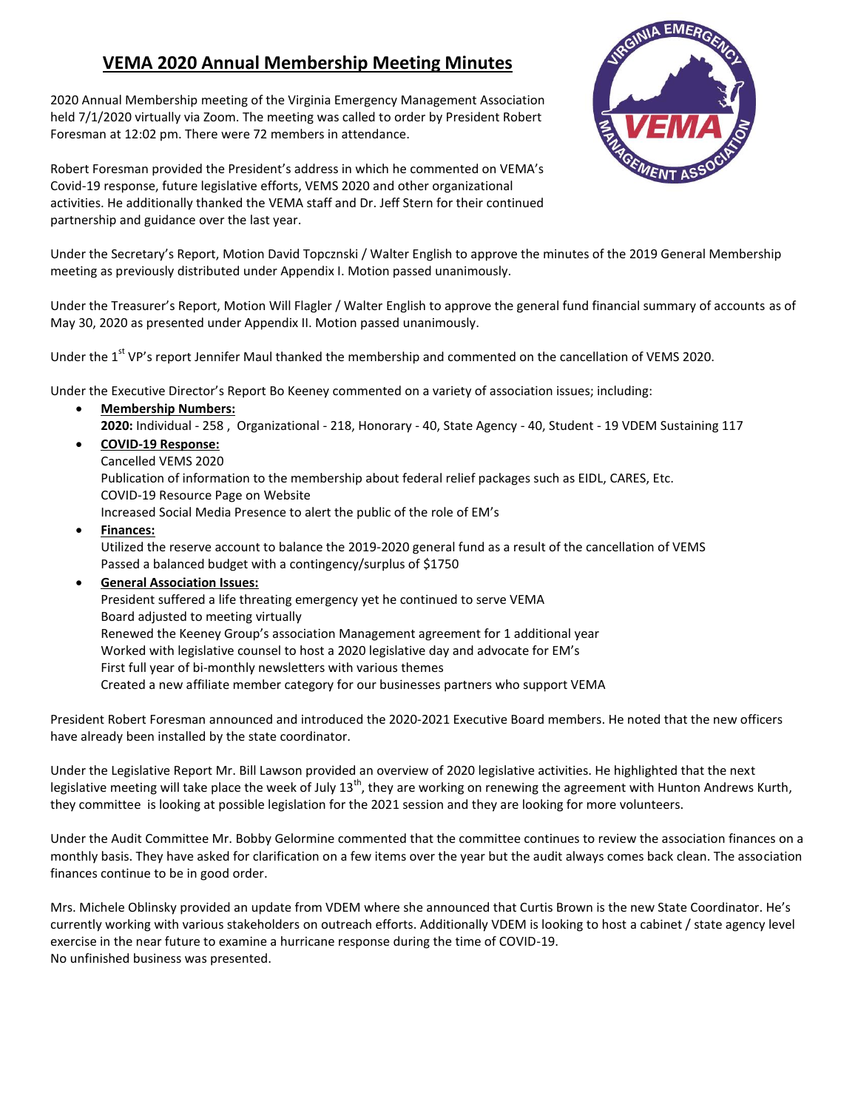## **VEMA 2020 Annual Membership Meeting Minutes**

2020 Annual Membership meeting of the Virginia Emergency Management Association held 7/1/2020 virtually via Zoom. The meeting was called to order by President Robert Foresman at 12:02 pm. There were 72 members in attendance.



Robert Foresman provided the President's address in which he commented on VEMA's Covid-19 response, future legislative efforts, VEMS 2020 and other organizational activities. He additionally thanked the VEMA staff and Dr. Jeff Stern for their continued partnership and guidance over the last year.

Under the Secretary's Report, Motion David Topcznski / Walter English to approve the minutes of the 2019 General Membership meeting as previously distributed under Appendix I. Motion passed unanimously.

Under the Treasurer's Report, Motion Will Flagler / Walter English to approve the general fund financial summary of accounts as of May 30, 2020 as presented under Appendix II. Motion passed unanimously.

Under the 1<sup>st</sup> VP's report Jennifer Maul thanked the membership and commented on the cancellation of VEMS 2020.

Under the Executive Director's Report Bo Keeney commented on a variety of association issues; including:

- **Membership Numbers:**
	- **2020:** Individual 258 , Organizational 218, Honorary 40, State Agency 40, Student 19 VDEM Sustaining 117
	- **COVID-19 Response:**
	- Cancelled VEMS 2020

Publication of information to the membership about federal relief packages such as EIDL, CARES, Etc. COVID-19 Resource Page on Website

Increased Social Media Presence to alert the public of the role of EM's

- **Finances:** Utilized the reserve account to balance the 2019-2020 general fund as a result of the cancellation of VEMS Passed a balanced budget with a contingency/surplus of \$1750
- **General Association Issues:**

President suffered a life threating emergency yet he continued to serve VEMA Board adjusted to meeting virtually Renewed the Keeney Group's association Management agreement for 1 additional year Worked with legislative counsel to host a 2020 legislative day and advocate for EM's First full year of bi-monthly newsletters with various themes Created a new affiliate member category for our businesses partners who support VEMA

President Robert Foresman announced and introduced the 2020-2021 Executive Board members. He noted that the new officers have already been installed by the state coordinator.

Under the Legislative Report Mr. Bill Lawson provided an overview of 2020 legislative activities. He highlighted that the next legislative meeting will take place the week of July  $13^{th}$ , they are working on renewing the agreement with Hunton Andrews Kurth, they committee is looking at possible legislation for the 2021 session and they are looking for more volunteers.

Under the Audit Committee Mr. Bobby Gelormine commented that the committee continues to review the association finances on a monthly basis. They have asked for clarification on a few items over the year but the audit always comes back clean. The association finances continue to be in good order.

Mrs. Michele Oblinsky provided an update from VDEM where she announced that Curtis Brown is the new State Coordinator. He's currently working with various stakeholders on outreach efforts. Additionally VDEM is looking to host a cabinet / state agency level exercise in the near future to examine a hurricane response during the time of COVID-19. No unfinished business was presented.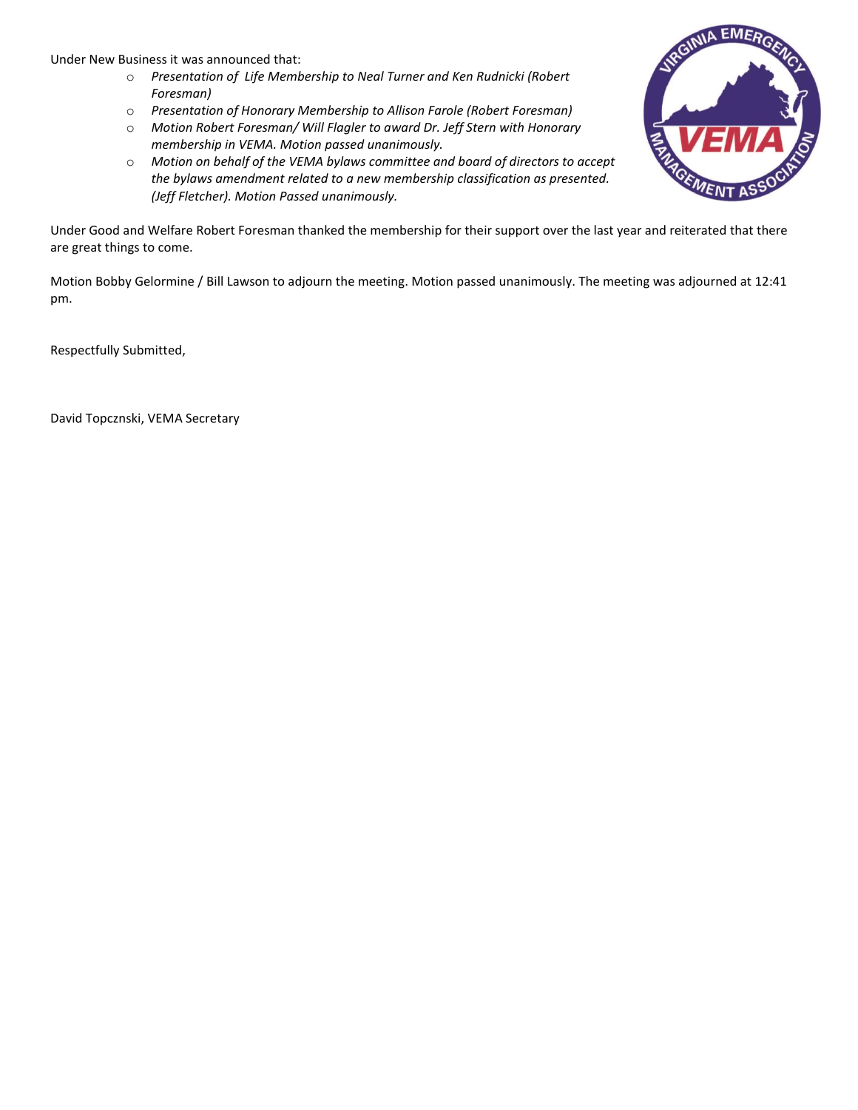Under New Business it was announced that:

- o *Presentation of Life Membership to Neal Turner and Ken Rudnicki (Robert Foresman)*
- o *Presentation of Honorary Membership to Allison Farole (Robert Foresman)*
- o *Motion Robert Foresman/ Will Flagler to award Dr. Jeff Stern with Honorary membership in VEMA. Motion passed unanimously.*
- o *Motion on behalf of the VEMA bylaws committee and board of directors to accept the bylaws amendment related to a new membership classification as presented. (Jeff Fletcher). Motion Passed unanimously.*

Under Good and Welfare Robert Foresman thanked the membership for their support over the last year and reiterated that there are great things to come.

Motion Bobby Gelormine / Bill Lawson to adjourn the meeting. Motion passed unanimously. The meeting was adjourned at 12:41 pm.

Respectfully Submitted,

David Topcznski, VEMA Secretary

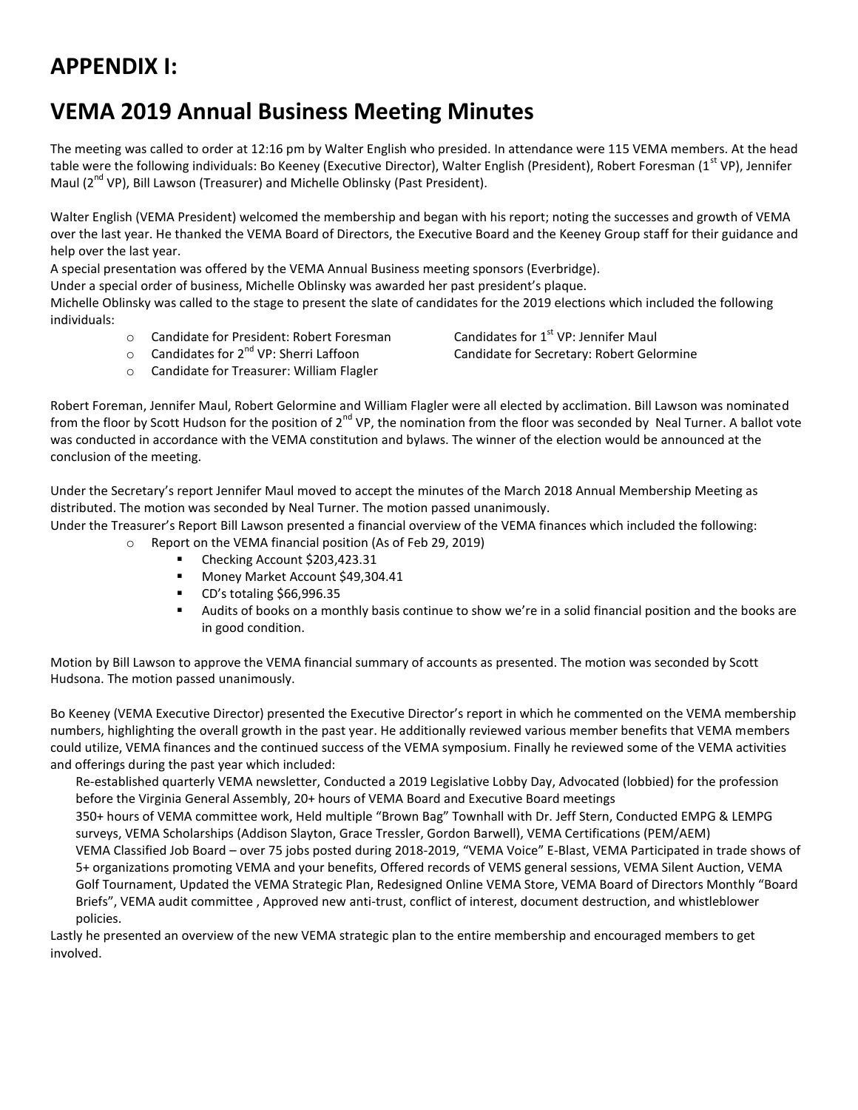# **APPENDIX I:**

# **VEMA 2019 Annual Business Meeting Minutes**

The meeting was called to order at 12:16 pm by Walter English who presided. In attendance were 115 VEMA members. At the head table were the following individuals: Bo Keeney (Executive Director), Walter English (President), Robert Foresman (1<sup>st</sup> VP), Jennifer Maul (2<sup>nd</sup> VP), Bill Lawson (Treasurer) and Michelle Oblinsky (Past President).

Walter English (VEMA President) welcomed the membership and began with his report; noting the successes and growth of VEMA over the last year. He thanked the VEMA Board of Directors, the Executive Board and the Keeney Group staff for their guidance and help over the last year.

A special presentation was offered by the VEMA Annual Business meeting sponsors (Everbridge).

Under a special order of business, Michelle Oblinsky was awarded her past president's plaque.

Michelle Oblinsky was called to the stage to present the slate of candidates for the 2019 elections which included the following individuals:

 $\circ$  Candidate for President: Robert Foresman Candidates for 1st VP: Jennifer Maul

 $\circ$  Candidates for 2<sup>nd</sup> VP: Sherri Laffoon Candidate for Secretary: Robert Gelormine

o Candidate for Treasurer: William Flagler

Robert Foreman, Jennifer Maul, Robert Gelormine and William Flagler were all elected by acclimation. Bill Lawson was nominated from the floor by Scott Hudson for the position of 2<sup>nd</sup> VP, the nomination from the floor was seconded by Neal Turner. A ballot vote was conducted in accordance with the VEMA constitution and bylaws. The winner of the election would be announced at the conclusion of the meeting.

Under the Secretary's report Jennifer Maul moved to accept the minutes of the March 2018 Annual Membership Meeting as distributed. The motion was seconded by Neal Turner. The motion passed unanimously.

Under the Treasurer's Report Bill Lawson presented a financial overview of the VEMA finances which included the following:

- o Report on the VEMA financial position (As of Feb 29, 2019)
	- Checking Account \$203,423.31
	- **Money Market Account \$49,304.41**
	- CD's totaling \$66,996.35
	- Audits of books on a monthly basis continue to show we're in a solid financial position and the books are in good condition.

Motion by Bill Lawson to approve the VEMA financial summary of accounts as presented. The motion was seconded by Scott Hudsona. The motion passed unanimously.

Bo Keeney (VEMA Executive Director) presented the Executive Director's report in which he commented on the VEMA membership numbers, highlighting the overall growth in the past year. He additionally reviewed various member benefits that VEMA members could utilize, VEMA finances and the continued success of the VEMA symposium. Finally he reviewed some of the VEMA activities and offerings during the past year which included:

Re-established quarterly VEMA newsletter, Conducted a 2019 Legislative Lobby Day, Advocated (lobbied) for the profession before the Virginia General Assembly, 20+ hours of VEMA Board and Executive Board meetings 350+ hours of VEMA committee work, Held multiple "Brown Bag" Townhall with Dr. Jeff Stern, Conducted EMPG & LEMPG

surveys, VEMA Scholarships (Addison Slayton, Grace Tressler, Gordon Barwell), VEMA Certifications (PEM/AEM) VEMA Classified Job Board – over 75 jobs posted during 2018-2019, "VEMA Voice" E-Blast, VEMA Participated in trade shows of 5+ organizations promoting VEMA and your benefits, Offered records of VEMS general sessions, VEMA Silent Auction, VEMA Golf Tournament, Updated the VEMA Strategic Plan, Redesigned Online VEMA Store, VEMA Board of Directors Monthly "Board Briefs", VEMA audit committee , Approved new anti-trust, conflict of interest, document destruction, and whistleblower policies.

Lastly he presented an overview of the new VEMA strategic plan to the entire membership and encouraged members to get involved.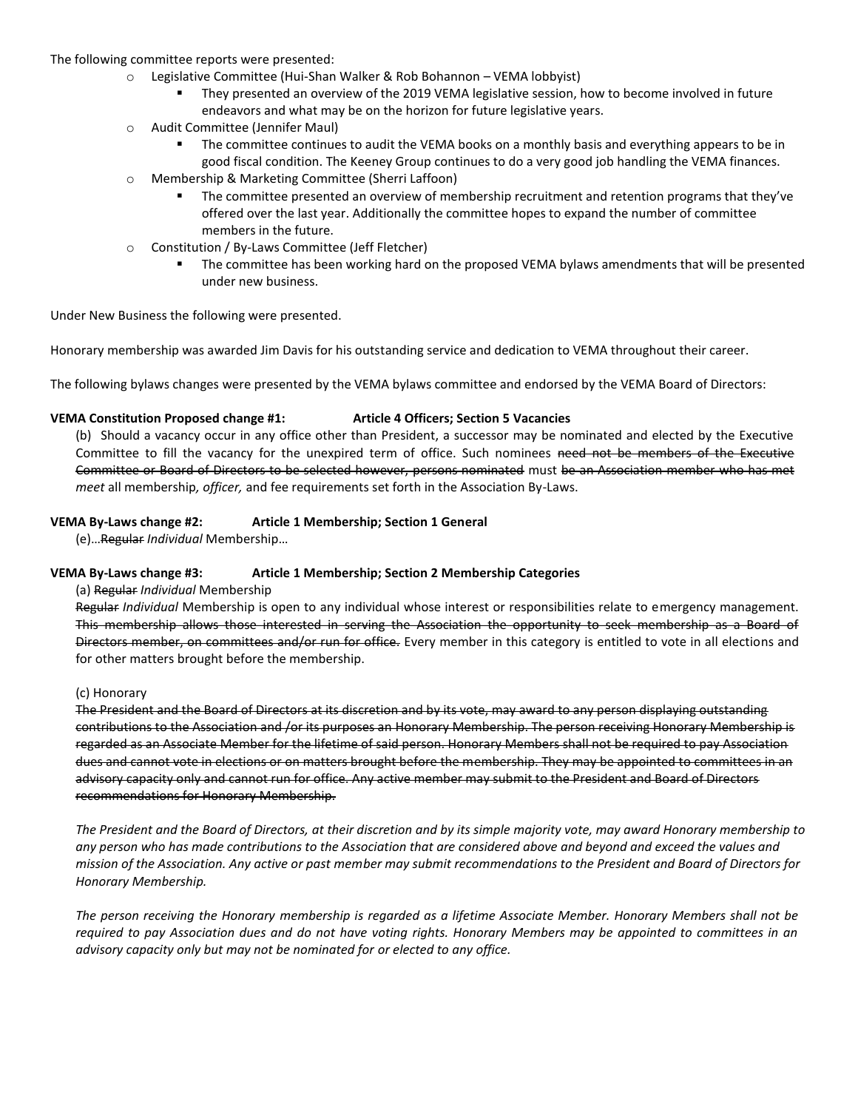#### The following committee reports were presented:

- o Legislative Committee (Hui-Shan Walker & Rob Bohannon VEMA lobbyist)
	- They presented an overview of the 2019 VEMA legislative session, how to become involved in future endeavors and what may be on the horizon for future legislative years.
- o Audit Committee (Jennifer Maul)
	- The committee continues to audit the VEMA books on a monthly basis and everything appears to be in good fiscal condition. The Keeney Group continues to do a very good job handling the VEMA finances.
- o Membership & Marketing Committee (Sherri Laffoon)
	- The committee presented an overview of membership recruitment and retention programs that they've offered over the last year. Additionally the committee hopes to expand the number of committee members in the future.
- o Constitution / By-Laws Committee (Jeff Fletcher)
	- The committee has been working hard on the proposed VEMA bylaws amendments that will be presented under new business.

Under New Business the following were presented.

Honorary membership was awarded Jim Davis for his outstanding service and dedication to VEMA throughout their career.

The following bylaws changes were presented by the VEMA bylaws committee and endorsed by the VEMA Board of Directors:

#### **VEMA Constitution Proposed change #1: Article 4 Officers; Section 5 Vacancies**

(b) Should a vacancy occur in any office other than President, a successor may be nominated and elected by the Executive Committee to fill the vacancy for the unexpired term of office. Such nominees need not be members of the Executive Committee or Board of Directors to be selected however, persons nominated must be an Association member who has met *meet* all membership*, officer,* and fee requirements set forth in the Association By-Laws.

#### **VEMA By-Laws change #2: Article 1 Membership; Section 1 General**

(e)…Regular *Individual* Membership…

#### **VEMA By-Laws change #3: Article 1 Membership; Section 2 Membership Categories**

(a) Regular *Individual* Membership

Regular *Individual* Membership is open to any individual whose interest or responsibilities relate to emergency management. This membership allows those interested in serving the Association the opportunity to seek membership as a Board of Directors member, on committees and/or run for office. Every member in this category is entitled to vote in all elections and for other matters brought before the membership.

#### (c) Honorary

The President and the Board of Directors at its discretion and by its vote, may award to any person displaying outstanding contributions to the Association and /or its purposes an Honorary Membership. The person receiving Honorary Membership is regarded as an Associate Member for the lifetime of said person. Honorary Members shall not be required to pay Association dues and cannot vote in elections or on matters brought before the membership. They may be appointed to committees in an advisory capacity only and cannot run for office. Any active member may submit to the President and Board of Directors recommendations for Honorary Membership.

*The President and the Board of Directors, at their discretion and by its simple majority vote, may award Honorary membership to any person who has made contributions to the Association that are considered above and beyond and exceed the values and mission of the Association. Any active or past member may submit recommendations to the President and Board of Directors for Honorary Membership.* 

*The person receiving the Honorary membership is regarded as a lifetime Associate Member. Honorary Members shall not be required to pay Association dues and do not have voting rights. Honorary Members may be appointed to committees in an advisory capacity only but may not be nominated for or elected to any office.*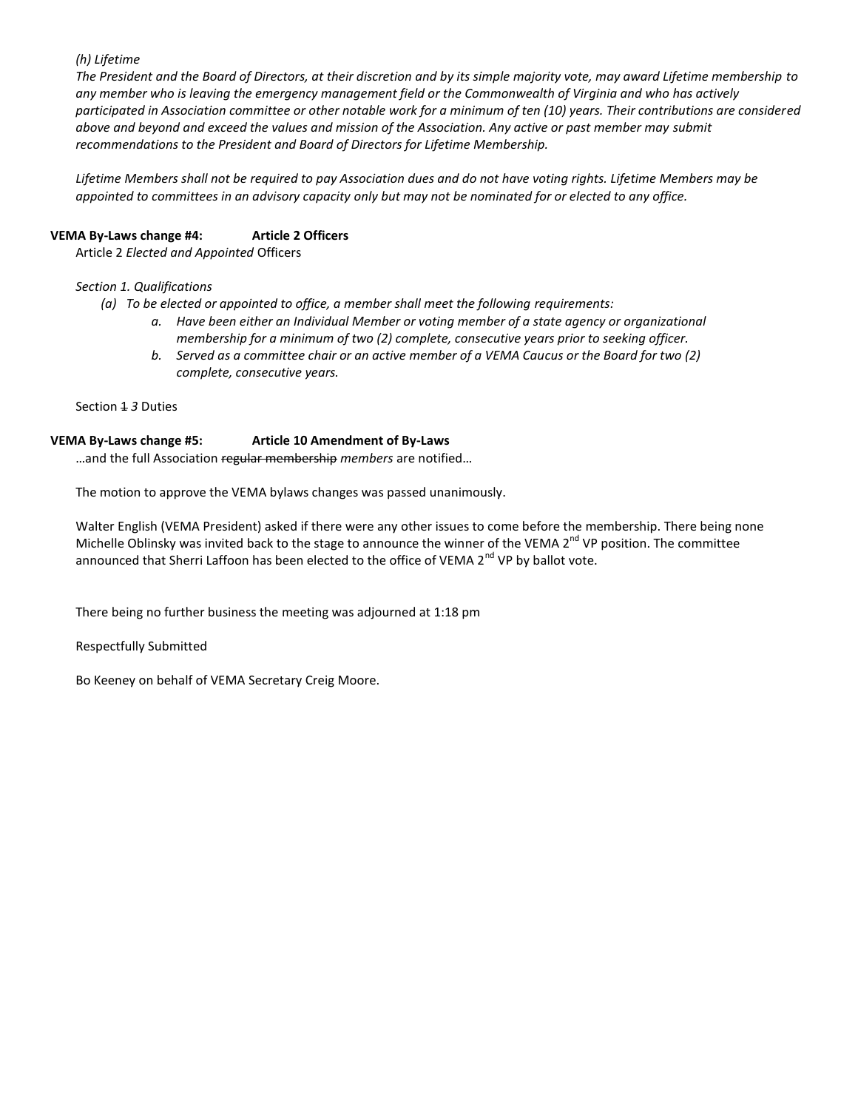#### *(h) Lifetime*

*The President and the Board of Directors, at their discretion and by its simple majority vote, may award Lifetime membership to any member who is leaving the emergency management field or the Commonwealth of Virginia and who has actively participated in Association committee or other notable work for a minimum of ten (10) years. Their contributions are considered above and beyond and exceed the values and mission of the Association. Any active or past member may submit recommendations to the President and Board of Directors for Lifetime Membership.* 

*Lifetime Members shall not be required to pay Association dues and do not have voting rights. Lifetime Members may be appointed to committees in an advisory capacity only but may not be nominated for or elected to any office.* 

#### **VEMA By-Laws change #4: Article 2 Officers**

Article 2 *Elected and Appointed* Officers

#### *Section 1. Qualifications*

*(a) To be elected or appointed to office, a member shall meet the following requirements:*

- *a. Have been either an Individual Member or voting member of a state agency or organizational membership for a minimum of two (2) complete, consecutive years prior to seeking officer.*
- *b. Served as a committee chair or an active member of a VEMA Caucus or the Board for two (2) complete, consecutive years.*

Section 1 *3* Duties

#### **VEMA By-Laws change #5: Article 10 Amendment of By-Laws**

…and the full Association regular membership *members* are notified…

The motion to approve the VEMA bylaws changes was passed unanimously.

Walter English (VEMA President) asked if there were any other issues to come before the membership. There being none Michelle Oblinsky was invited back to the stage to announce the winner of the VEMA 2<sup>nd</sup> VP position. The committee announced that Sherri Laffoon has been elected to the office of VEMA 2<sup>nd</sup> VP by ballot vote.

There being no further business the meeting was adjourned at 1:18 pm

Respectfully Submitted

Bo Keeney on behalf of VEMA Secretary Creig Moore.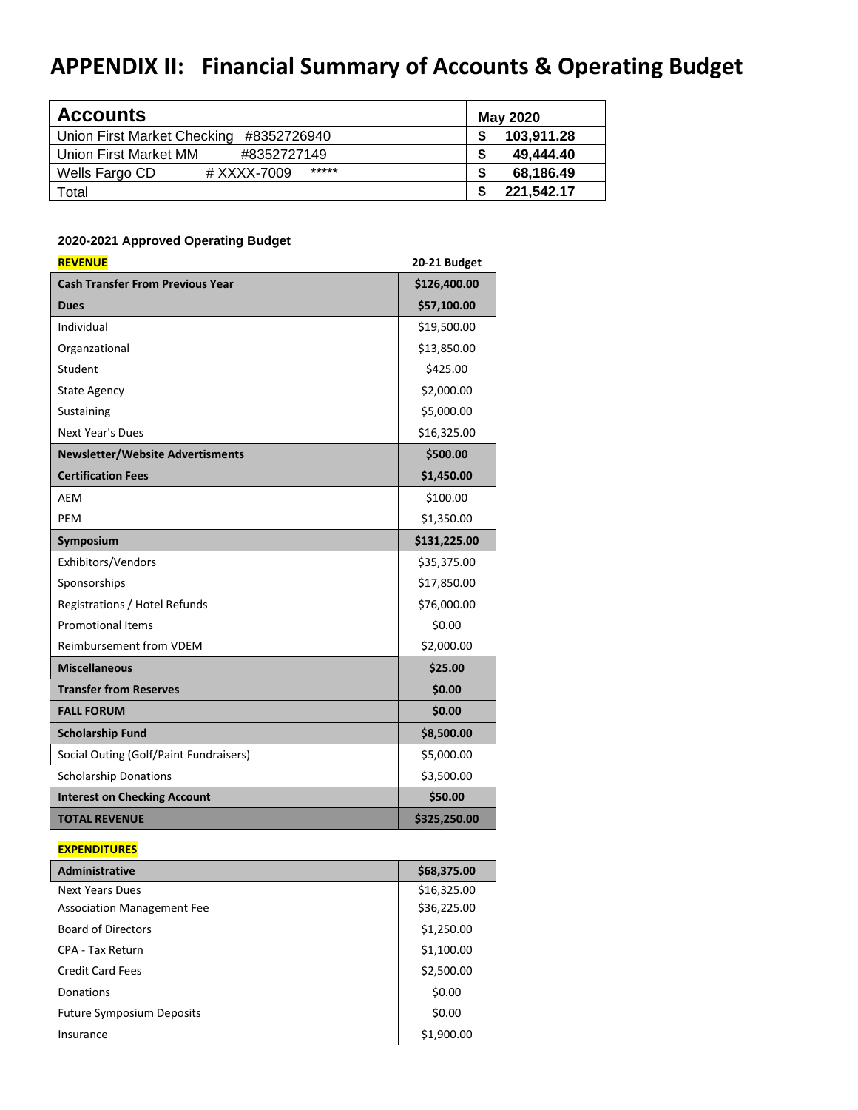# **APPENDIX II: Financial Summary of Accounts & Operating Budget**

| <b>Accounts</b>                            | <b>May 2020</b>  |
|--------------------------------------------|------------------|
| Union First Market Checking<br>#8352726940 | 103.911.28       |
| Union First Market MM<br>#8352727149       | 49.444.40<br>S   |
| *****<br>Wells Fargo CD<br># XXXX-7009     | 68.186.49<br>S   |
| Total                                      | \$<br>221.542.17 |

### **2020-2021 Approved Operating Budget**

| <b>REVENUE</b>                          | 20-21 Budget |
|-----------------------------------------|--------------|
| <b>Cash Transfer From Previous Year</b> | \$126,400.00 |
| <b>Dues</b>                             | \$57,100.00  |
| Individual                              | \$19,500.00  |
| Organzational                           | \$13,850.00  |
| Student                                 | \$425.00     |
| <b>State Agency</b>                     | \$2,000.00   |
| Sustaining                              | \$5,000.00   |
| <b>Next Year's Dues</b>                 | \$16,325.00  |
| <b>Newsletter/Website Advertisments</b> | \$500.00     |
| <b>Certification Fees</b>               | \$1,450.00   |
| AEM                                     | \$100.00     |
| PEM                                     | \$1,350.00   |
| Symposium                               | \$131,225.00 |
| Exhibitors/Vendors                      | \$35,375.00  |
| Sponsorships                            | \$17,850.00  |
| Registrations / Hotel Refunds           | \$76,000.00  |
| <b>Promotional Items</b>                | \$0.00       |
| Reimbursement from VDEM                 | \$2,000.00   |
| <b>Miscellaneous</b>                    | \$25.00      |
| <b>Transfer from Reserves</b>           | \$0.00       |
| <b>FALL FORUM</b>                       | \$0.00       |
| <b>Scholarship Fund</b>                 | \$8,500.00   |
| Social Outing (Golf/Paint Fundraisers)  | \$5,000.00   |
| <b>Scholarship Donations</b>            | \$3,500.00   |
| <b>Interest on Checking Account</b>     | \$50.00      |
| <b>TOTAL REVENUE</b>                    | \$325,250.00 |

#### **EXPENDITURES**

| <b>Administrative</b>             | \$68,375.00 |
|-----------------------------------|-------------|
| <b>Next Years Dues</b>            | \$16,325.00 |
| <b>Association Management Fee</b> | \$36,225.00 |
| <b>Board of Directors</b>         | \$1,250.00  |
| CPA - Tax Return                  | \$1,100.00  |
| <b>Credit Card Fees</b>           | \$2,500.00  |
| Donations                         | \$0.00      |
| <b>Future Symposium Deposits</b>  | \$0.00      |
| Insurance                         | \$1,900.00  |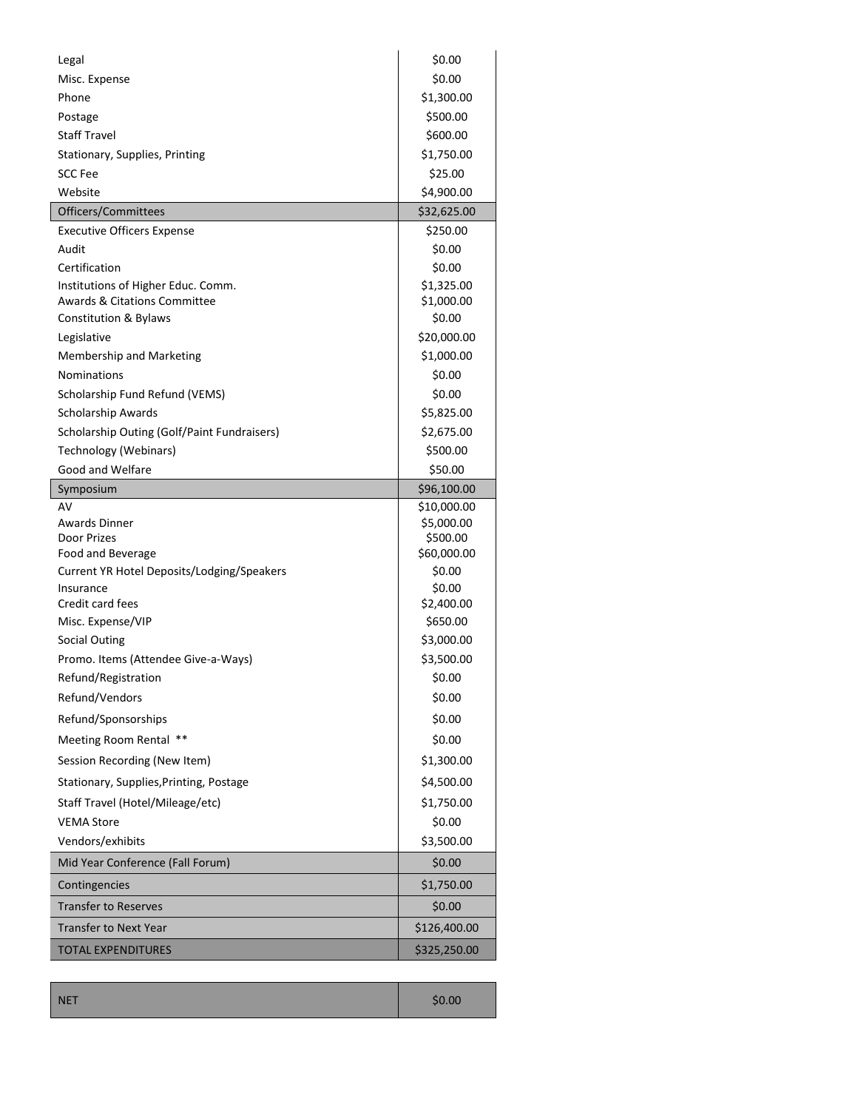| Legal                                       | \$0.00                    |
|---------------------------------------------|---------------------------|
| Misc. Expense                               | \$0.00                    |
| Phone                                       | \$1,300.00                |
| Postage                                     | \$500.00                  |
| <b>Staff Travel</b>                         | \$600.00                  |
| Stationary, Supplies, Printing              | \$1,750.00                |
| <b>SCC Fee</b>                              | \$25.00                   |
| Website                                     | \$4,900.00                |
| Officers/Committees                         | \$32,625.00               |
| <b>Executive Officers Expense</b>           | \$250.00                  |
| Audit                                       | \$0.00                    |
| Certification                               | \$0.00                    |
| Institutions of Higher Educ. Comm.          | \$1,325.00                |
| <b>Awards &amp; Citations Committee</b>     | \$1,000.00                |
| Constitution & Bylaws                       | \$0.00                    |
| Legislative                                 | \$20,000.00               |
| Membership and Marketing                    | \$1,000.00                |
| <b>Nominations</b>                          | \$0.00                    |
| Scholarship Fund Refund (VEMS)              | \$0.00                    |
| <b>Scholarship Awards</b>                   | \$5,825.00                |
| Scholarship Outing (Golf/Paint Fundraisers) | \$2,675.00                |
| Technology (Webinars)                       | \$500.00                  |
| Good and Welfare                            | \$50.00                   |
| Symposium                                   | \$96,100.00               |
| AV<br>Awards Dinner                         | \$10,000.00<br>\$5,000.00 |
| Door Prizes                                 | \$500.00                  |
| Food and Beverage                           | \$60,000.00               |
| Current YR Hotel Deposits/Lodging/Speakers  | \$0.00                    |
| Insurance                                   | \$0.00                    |
| Credit card fees                            | \$2,400.00                |
| Misc. Expense/VIP                           |                           |
|                                             | \$650.00                  |
| <b>Social Outing</b>                        | \$3,000.00                |
| Promo. Items (Attendee Give-a-Ways)         | \$3,500.00                |
| Refund/Registration                         | \$0.00                    |
| Refund/Vendors                              | \$0.00                    |
| Refund/Sponsorships                         | \$0.00                    |
| Meeting Room Rental **                      | \$0.00                    |
| Session Recording (New Item)                | \$1,300.00                |
| Stationary, Supplies, Printing, Postage     | \$4,500.00                |
| Staff Travel (Hotel/Mileage/etc)            | \$1,750.00                |
| <b>VEMA Store</b>                           | \$0.00                    |
| Vendors/exhibits                            | \$3,500.00                |
| Mid Year Conference (Fall Forum)            | \$0.00                    |
| Contingencies                               | \$1,750.00                |
| <b>Transfer to Reserves</b>                 | \$0.00                    |
| <b>Transfer to Next Year</b>                | \$126,400.00              |